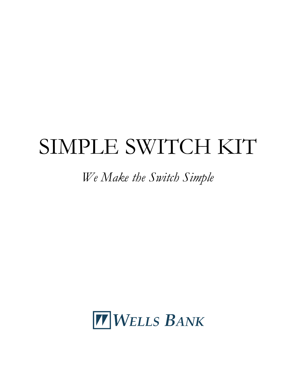# SIMPLE SWITCH KIT

# *We Make the Switch Simple*

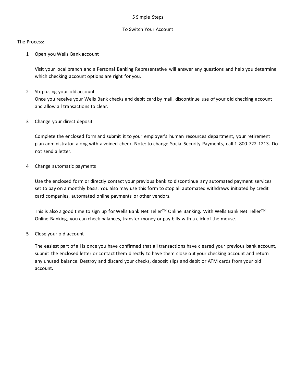#### 5 Simple Steps

### To Switch Your Account

The Process:

1 Open you Wells Bank account

Visit your local branch and a Personal Banking Representative will answer any questions and help you determine which checking account options are right for you.

2 Stop using your old account

Once you receive your Wells Bank checks and debit card by mail, discontinue use of your old checking account and allow all transactions to clear.

3 Change your direct deposit

Complete the enclosed form and submit it to your employer's human resources department, your retirement plan administrator along with a voided check. Note: to change Social Security Payments, call 1-800-722-1213. Do not send a letter.

4 Change automatic payments

Use the enclosed form or directly contact your previous bank to discontinue any automated payment services set to pay on a monthly basis. You also may use this form to stop all automated withdraws initiated by credit card companies, automated online payments or other vendors.

This is also a good time to sign up for Wells Bank Net Teller<sup>TM</sup> Online Banking. With Wells Bank Net Teller<sup>TM</sup> Online Banking, you can check balances, transfer money or pay bills with a click of the mouse.

5 Close your old account

The easiest part of all is once you have confirmed that all transactions have cleared your previous bank account, submit the enclosed letter or contact them directly to have them close out your checking account and return any unused balance. Destroy and discard your checks, deposit slips and debit or ATM cards from your old account.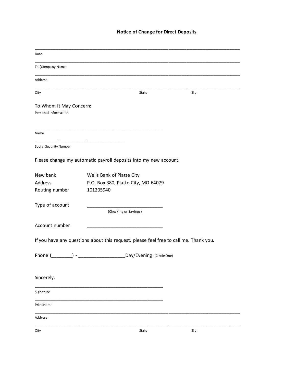# **Notice of Change for Direct Deposits**

| Date                                            |                                                                                       |     |  |
|-------------------------------------------------|---------------------------------------------------------------------------------------|-----|--|
| To (Company Name)                               |                                                                                       |     |  |
| Address                                         |                                                                                       |     |  |
| City                                            | State                                                                                 | Zip |  |
| To Whom It May Concern:<br>Personal Information |                                                                                       |     |  |
| Name                                            |                                                                                       |     |  |
| Social Security Number                          |                                                                                       |     |  |
|                                                 | Please change my automatic payroll deposits into my new account.                      |     |  |
| New bank<br>Address                             | Wells Bank of Platte City<br>P.O. Box 380, Platte City, MO 64079                      |     |  |
| Routing number                                  | 101205940                                                                             |     |  |
| Type of account                                 | (Checking or Savings)                                                                 |     |  |
| Account number                                  |                                                                                       |     |  |
|                                                 | If you have any questions about this request, please feel free to call me. Thank you. |     |  |
| Phone (                                         | Day/Evening (CircleOne)                                                               |     |  |
| Sincerely,                                      |                                                                                       |     |  |
| Signature                                       |                                                                                       |     |  |
| Print Name                                      |                                                                                       |     |  |
| Address                                         |                                                                                       |     |  |
| City                                            | State                                                                                 | Zip |  |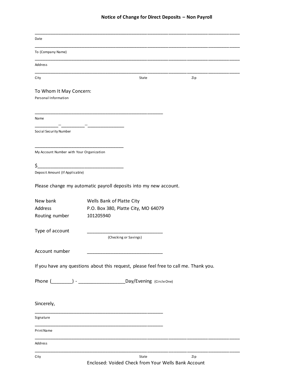#### **Notice of Change for Direct Deposits – Non Payroll**

| Date                                            |                                                                                       |  |
|-------------------------------------------------|---------------------------------------------------------------------------------------|--|
| To (Company Name)                               |                                                                                       |  |
| Address                                         |                                                                                       |  |
| City                                            | State<br>Zip                                                                          |  |
| To Whom It May Concern:<br>Personal Information |                                                                                       |  |
| Name                                            |                                                                                       |  |
| Social Security Number                          |                                                                                       |  |
| My Account Number with Your Organization        |                                                                                       |  |
| \$<br>Deposit Amount (If Applicable)            |                                                                                       |  |
|                                                 | Please change my automatic payroll deposits into my new account.                      |  |
| New bank<br>Address<br>Routing number           | Wells Bank of Platte City<br>P.O. Box 380, Platte City, MO 64079<br>101205940         |  |
| Type of account                                 | (Checking or Savings)                                                                 |  |
| Account number                                  |                                                                                       |  |
|                                                 | If you have any questions about this request, please feel free to call me. Thank you. |  |
|                                                 |                                                                                       |  |
| Sincerely,                                      |                                                                                       |  |
| Signature                                       |                                                                                       |  |
| Print Name                                      |                                                                                       |  |
| Address                                         |                                                                                       |  |
| City                                            | State<br>Zip                                                                          |  |

Enclosed: Voided Check from Your Wells Bank Account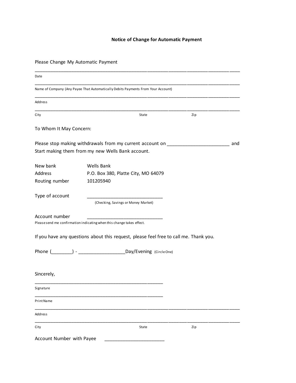# **Notice of Change for Automatic Payment**

Please Change My Automatic Payment

| Date                      |                                                                                                                                       |     |     |
|---------------------------|---------------------------------------------------------------------------------------------------------------------------------------|-----|-----|
|                           | Name of Company (Any Payee That Automatically Debits Payments From Your Account)                                                      |     |     |
| Address                   |                                                                                                                                       |     |     |
| City                      | State                                                                                                                                 | Zip |     |
| To Whom It May Concern:   |                                                                                                                                       |     |     |
|                           | Please stop making withdrawals from my current account on ______________________<br>Start making them from my new Wells Bank account. |     | and |
| New bank<br>Address       | Wells Bank<br>P.O. Box 380, Platte City, MO 64079                                                                                     |     |     |
| Routing number            | 101205940                                                                                                                             |     |     |
| Type of account           | (Checking, Savings or Money Market)                                                                                                   |     |     |
| Account number            | Please send me confirmation indicating when this change takes effect.                                                                 |     |     |
|                           | If you have any questions about this request, please feel free to call me. Thank you.                                                 |     |     |
|                           |                                                                                                                                       |     |     |
| Sincerely,                |                                                                                                                                       |     |     |
| Signature                 |                                                                                                                                       |     |     |
| Print Name                |                                                                                                                                       |     |     |
| Address                   |                                                                                                                                       |     |     |
| City                      | State                                                                                                                                 | Zip |     |
| Account Number with Payee |                                                                                                                                       |     |     |